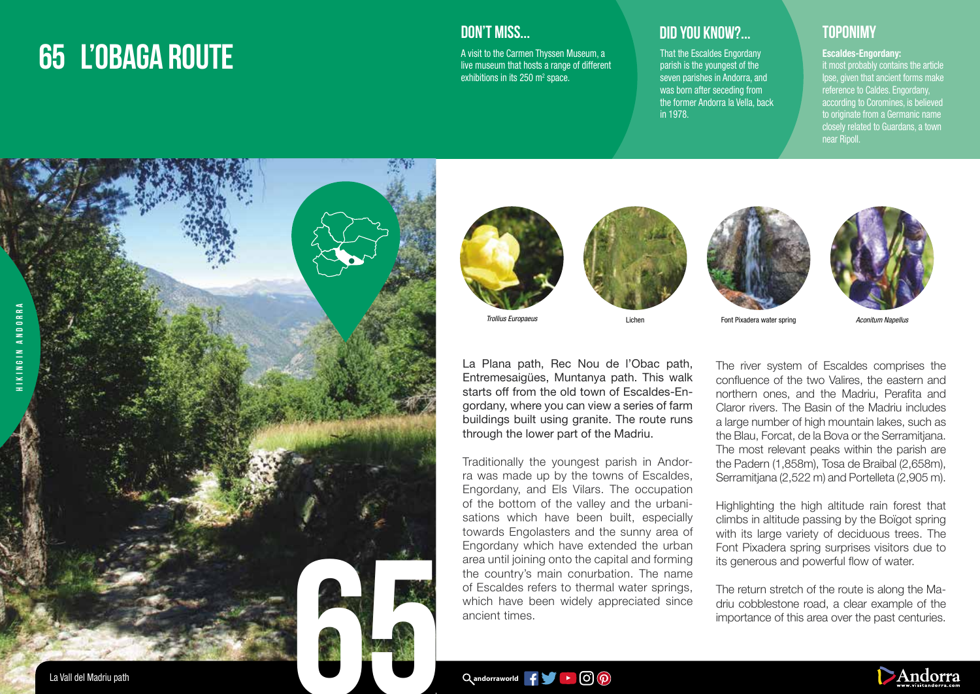# **65 L'OBAGA ROUTE**

### **DON'T MISS...**

A visit to the Carmen Thyssen Museum, a live museum that hosts a range of different exhibitions in its 250  $\mathrm{m}^2$  space.

## **DID YOU KNOW?... TOPONIMY**

That the Escaldes Engordany parish is the youngest of the seven parishes in Andorra, and was born after seceding from the former Andorra la Vella, back in 1978.

near Ripoll.

Escaldes-Engordany: it most probably contains the article Ipse, given that ancient forms make reference to Caldes. Engordany, according to Coromines, is believed to originate from a Germanic name closely related to Guardans, a town







La Plana path, Rec Nou de l'Obac path, Entremesaigües, Muntanya path. This walk starts off from the old town of Escaldes-Engordany, where you can view a series of farm buildings built using granite. The route runs

Traditionally the youngest parish in Andorra was made up by the towns of Escaldes, Engordany, and Els Vilars. The occupation of the bottom of the valley and the urbanisations which have been built, especially towards Engolasters and the sunny area of Engordany which have extended the urban area until joining onto the capital and forming the country's main conurbation. The name of Escaldes refers to thermal water springs, which have been widely appreciated since

through the lower part of the Madriu.





Lichen Font Pixadera water spring

*Aconitum Napellus*

The river system of Escaldes comprises the confluence of the two Valires, the eastern and northern ones, and the Madriu, Perafita and Claror rivers. The Basin of the Madriu includes a large number of high mountain lakes, such as the Blau, Forcat, de la Bova or the Serramitjana. The most relevant peaks within the parish are the Padern (1,858m), Tosa de Braibal (2,658m), Serramitjana (2,522 m) and Portelleta (2,905 m).

Highlighting the high altitude rain forest that climbs in altitude passing by the Boïgot spring with its large variety of deciduous trees. The Font Pixadera spring surprises visitors due to its generous and powerful flow of water.

The return stretch of the route is along the Madriu cobblestone road, a clear example of the importance of this area over the past centuries.

Qandorraworld **f f b c c p** 

ancient times.



La Vall del Madriu path